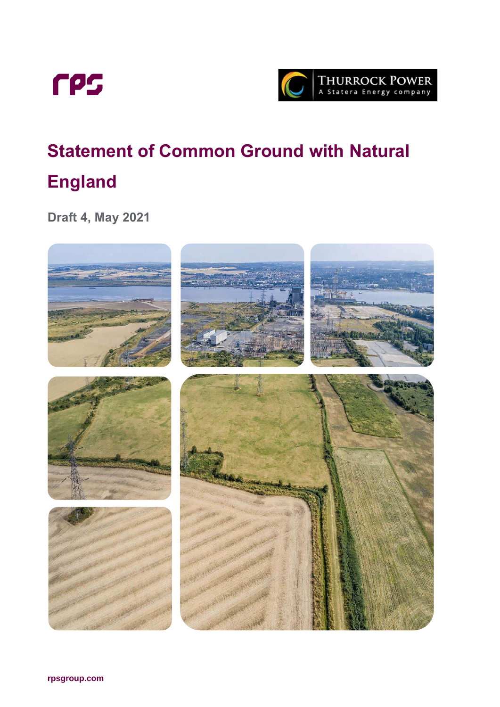



# **Statement of Common Ground with Natural England**

**Draft 4, May 2021**

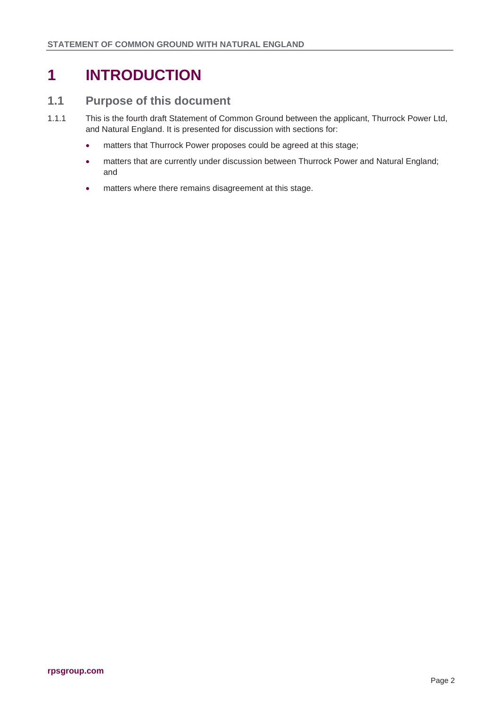## **1 INTRODUCTION**

#### **1.1 Purpose of this document**

- 1.1.1 This is the fourth draft Statement of Common Ground between the applicant, Thurrock Power Ltd, and Natural England. It is presented for discussion with sections for:
	- matters that Thurrock Power proposes could be agreed at this stage;
	- matters that are currently under discussion between Thurrock Power and Natural England; and
	- matters where there remains disagreement at this stage.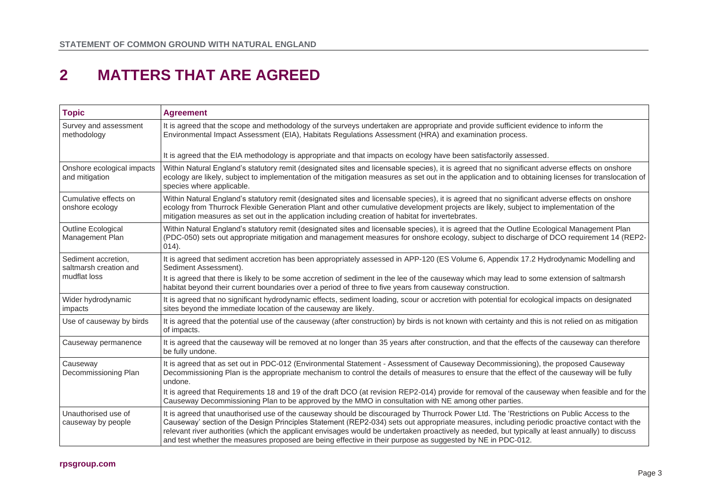### **2 MATTERS THAT ARE AGREED**

| <b>Topic</b>                                                  | <b>Agreement</b>                                                                                                                                                                                                                                                                                                                                                                                                                                                                                                                                            |
|---------------------------------------------------------------|-------------------------------------------------------------------------------------------------------------------------------------------------------------------------------------------------------------------------------------------------------------------------------------------------------------------------------------------------------------------------------------------------------------------------------------------------------------------------------------------------------------------------------------------------------------|
| Survey and assessment<br>methodology                          | It is agreed that the scope and methodology of the surveys undertaken are appropriate and provide sufficient evidence to inform the<br>Environmental Impact Assessment (EIA), Habitats Regulations Assessment (HRA) and examination process.                                                                                                                                                                                                                                                                                                                |
|                                                               | It is agreed that the EIA methodology is appropriate and that impacts on ecology have been satisfactorily assessed.                                                                                                                                                                                                                                                                                                                                                                                                                                         |
| Onshore ecological impacts<br>and mitigation                  | Within Natural England's statutory remit (designated sites and licensable species), it is agreed that no significant adverse effects on onshore<br>ecology are likely, subject to implementation of the mitigation measures as set out in the application and to obtaining licenses for translocation of<br>species where applicable.                                                                                                                                                                                                                       |
| Cumulative effects on<br>onshore ecology                      | Within Natural England's statutory remit (designated sites and licensable species), it is agreed that no significant adverse effects on onshore<br>ecology from Thurrock Flexible Generation Plant and other cumulative development projects are likely, subject to implementation of the<br>mitigation measures as set out in the application including creation of habitat for invertebrates.                                                                                                                                                             |
| Outline Ecological<br>Management Plan                         | Within Natural England's statutory remit (designated sites and licensable species), it is agreed that the Outline Ecological Management Plan<br>(PDC-050) sets out appropriate mitigation and management measures for onshore ecology, subject to discharge of DCO requirement 14 (REP2-<br>$014)$ .                                                                                                                                                                                                                                                        |
| Sediment accretion,<br>saltmarsh creation and<br>mudflat loss | It is agreed that sediment accretion has been appropriately assessed in APP-120 (ES Volume 6, Appendix 17.2 Hydrodynamic Modelling and<br>Sediment Assessment).                                                                                                                                                                                                                                                                                                                                                                                             |
|                                                               | It is agreed that there is likely to be some accretion of sediment in the lee of the causeway which may lead to some extension of saltmarsh<br>habitat beyond their current boundaries over a period of three to five years from causeway construction.                                                                                                                                                                                                                                                                                                     |
| Wider hydrodynamic<br>impacts                                 | It is agreed that no significant hydrodynamic effects, sediment loading, scour or accretion with potential for ecological impacts on designated<br>sites beyond the immediate location of the causeway are likely.                                                                                                                                                                                                                                                                                                                                          |
| Use of causeway by birds                                      | It is agreed that the potential use of the causeway (after construction) by birds is not known with certainty and this is not relied on as mitigation<br>of impacts.                                                                                                                                                                                                                                                                                                                                                                                        |
| Causeway permanence                                           | It is agreed that the causeway will be removed at no longer than 35 years after construction, and that the effects of the causeway can therefore<br>be fully undone.                                                                                                                                                                                                                                                                                                                                                                                        |
| Causeway<br>Decommissioning Plan                              | It is agreed that as set out in PDC-012 (Environmental Statement - Assessment of Causeway Decommissioning), the proposed Causeway<br>Decommissioning Plan is the appropriate mechanism to control the details of measures to ensure that the effect of the causeway will be fully<br>undone.<br>It is agreed that Requirements 18 and 19 of the draft DCO (at revision REP2-014) provide for removal of the causeway when feasible and for the<br>Causeway Decommissioning Plan to be approved by the MMO in consultation with NE among other parties.      |
| Unauthorised use of<br>causeway by people                     | It is agreed that unauthorised use of the causeway should be discouraged by Thurrock Power Ltd. The 'Restrictions on Public Access to the<br>Causeway' section of the Design Principles Statement (REP2-034) sets out appropriate measures, including periodic proactive contact with the<br>relevant river authorities (which the applicant envisages would be undertaken proactively as needed, but typically at least annually) to discuss<br>and test whether the measures proposed are being effective in their purpose as suggested by NE in PDC-012. |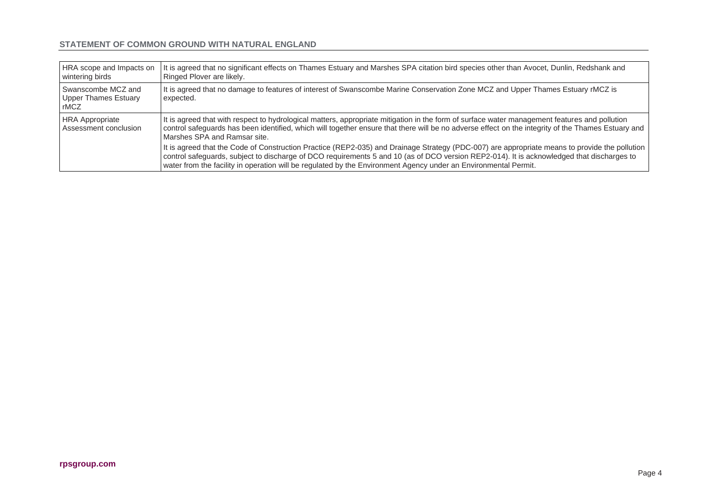#### **STATEMENT OF COMMON GROUND WITH NATURAL ENGLAND**

| HRA scope and Impacts on<br>wintering birds               | It is agreed that no significant effects on Thames Estuary and Marshes SPA citation bird species other than Avocet, Dunlin, Redshank and<br>Ringed Plover are likely.                                                                                                                                                                                                                                         |
|-----------------------------------------------------------|---------------------------------------------------------------------------------------------------------------------------------------------------------------------------------------------------------------------------------------------------------------------------------------------------------------------------------------------------------------------------------------------------------------|
| Swanscombe MCZ and<br><b>Upper Thames Estuary</b><br>rMCZ | It is agreed that no damage to features of interest of Swanscombe Marine Conservation Zone MCZ and Upper Thames Estuary rMCZ is<br>expected.                                                                                                                                                                                                                                                                  |
| <b>HRA Appropriate</b><br>Assessment conclusion           | It is agreed that with respect to hydrological matters, appropriate mitigation in the form of surface water management features and pollution<br>control safeguards has been identified, which will together ensure that there will be no adverse effect on the integrity of the Thames Estuary and<br>Marshes SPA and Ramsar site.                                                                           |
|                                                           | It is agreed that the Code of Construction Practice (REP2-035) and Drainage Strategy (PDC-007) are appropriate means to provide the pollution<br>control safeguards, subject to discharge of DCO requirements 5 and 10 (as of DCO version REP2-014). It is acknowledged that discharges to<br>water from the facility in operation will be regulated by the Environment Agency under an Environmental Permit. |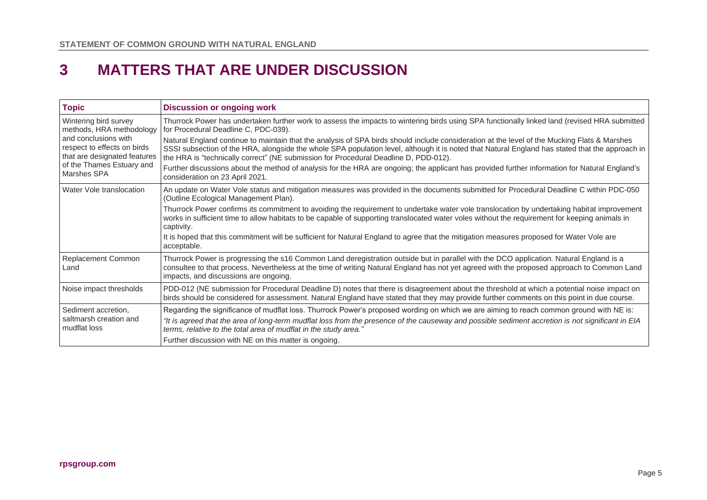### **3 MATTERS THAT ARE UNDER DISCUSSION**

| <b>Topic</b>                                                                                                                                                                         | <b>Discussion or ongoing work</b>                                                                                                                                                                                                                                                                                                                                                       |
|--------------------------------------------------------------------------------------------------------------------------------------------------------------------------------------|-----------------------------------------------------------------------------------------------------------------------------------------------------------------------------------------------------------------------------------------------------------------------------------------------------------------------------------------------------------------------------------------|
| Wintering bird survey<br>methods, HRA methodology<br>and conclusions with<br>respect to effects on birds<br>that are designated features<br>of the Thames Estuary and<br>Marshes SPA | Thurrock Power has undertaken further work to assess the impacts to wintering birds using SPA functionally linked land (revised HRA submitted<br>for Procedural Deadline C, PDC-039).                                                                                                                                                                                                   |
|                                                                                                                                                                                      | Natural England continue to maintain that the analysis of SPA birds should include consideration at the level of the Mucking Flats & Marshes<br>SSSI subsection of the HRA, alongside the whole SPA population level, although it is noted that Natural England has stated that the approach in<br>the HRA is "technically correct" (NE submission for Procedural Deadline D, PDD-012). |
|                                                                                                                                                                                      | Further discussions about the method of analysis for the HRA are ongoing; the applicant has provided further information for Natural England's<br>consideration on 23 April 2021.                                                                                                                                                                                                       |
| Water Vole translocation                                                                                                                                                             | An update on Water Vole status and mitigation measures was provided in the documents submitted for Procedural Deadline C within PDC-050<br>(Outline Ecological Management Plan).                                                                                                                                                                                                        |
|                                                                                                                                                                                      | Thurrock Power confirms its commitment to avoiding the requirement to undertake water vole translocation by undertaking habitat improvement<br>works in sufficient time to allow habitats to be capable of supporting translocated water voles without the requirement for keeping animals in<br>captivity.                                                                             |
|                                                                                                                                                                                      | It is hoped that this commitment will be sufficient for Natural England to agree that the mitigation measures proposed for Water Vole are<br>acceptable.                                                                                                                                                                                                                                |
| Replacement Common<br>Land                                                                                                                                                           | Thurrock Power is progressing the s16 Common Land deregistration outside but in parallel with the DCO application. Natural England is a<br>consultee to that process. Nevertheless at the time of writing Natural England has not yet agreed with the proposed approach to Common Land<br>impacts, and discussions are ongoing.                                                         |
| Noise impact thresholds                                                                                                                                                              | PDD-012 (NE submission for Procedural Deadline D) notes that there is disagreement about the threshold at which a potential noise impact on<br>birds should be considered for assessment. Natural England have stated that they may provide further comments on this point in due course.                                                                                               |
| Sediment accretion,<br>saltmarsh creation and<br>mudflat loss                                                                                                                        | Regarding the significance of mudflat loss. Thurrock Power's proposed wording on which we are aiming to reach common ground with NE is:                                                                                                                                                                                                                                                 |
|                                                                                                                                                                                      | "It is agreed that the area of long-term mudflat loss from the presence of the causeway and possible sediment accretion is not significant in EIA<br>terms, relative to the total area of mudflat in the study area."                                                                                                                                                                   |
|                                                                                                                                                                                      | Further discussion with NE on this matter is ongoing.                                                                                                                                                                                                                                                                                                                                   |